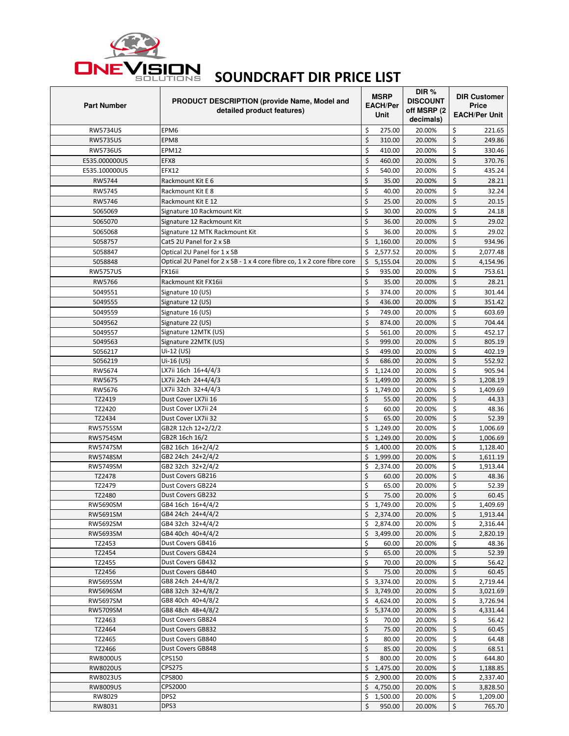

## **/ISION SOUNDCRAFT DIR PRICE LIST**

| <b>Part Number</b> | PRODUCT DESCRIPTION (provide Name, Model and<br>detailed product features) | <b>MSRP</b><br><b>EACH/Per</b><br>Unit | DIR $%$<br><b>DISCOUNT</b><br>off MSRP (2<br>decimals) | <b>DIR Customer</b><br><b>Price</b><br><b>EACH/Per Unit</b> |                      |
|--------------------|----------------------------------------------------------------------------|----------------------------------------|--------------------------------------------------------|-------------------------------------------------------------|----------------------|
| <b>RW5734US</b>    | EPM6                                                                       | \$<br>275.00                           | 20.00%                                                 | \$                                                          | 221.65               |
| <b>RW5735US</b>    | EPM8                                                                       | \$<br>310.00                           | 20.00%                                                 | \$                                                          | 249.86               |
| <b>RW5736US</b>    | EPM12                                                                      | \$<br>410.00                           | 20.00%                                                 | \$                                                          | 330.46               |
| E535.000000US      | EFX8                                                                       | \$<br>460.00                           | 20.00%                                                 | \$                                                          | 370.76               |
| E535.100000US      | <b>EFX12</b>                                                               | \$<br>540.00                           | 20.00%                                                 | \$                                                          | 435.24               |
| RW5744             | Rackmount Kit E 6                                                          | \$<br>35.00                            | 20.00%                                                 | \$                                                          | 28.21                |
| RW5745             | Rackmount Kit E 8                                                          | \$<br>40.00                            | 20.00%                                                 | \$                                                          | 32.24                |
| RW5746             | Rackmount Kit E 12                                                         | \$<br>25.00                            | 20.00%                                                 | \$                                                          | 20.15                |
| 5065069            | Signature 10 Rackmount Kit                                                 | \$<br>30.00                            | 20.00%                                                 | \$                                                          | 24.18                |
| 5065070            | Signature 12 Rackmount Kit                                                 | \$<br>36.00                            | 20.00%                                                 | \$                                                          | 29.02                |
| 5065068            | Signature 12 MTK Rackmount Kit                                             | \$<br>36.00                            | 20.00%                                                 | \$                                                          | 29.02                |
| 5058757            | Cat5 2U Panel for 2 x SB                                                   | \$<br>1,160.00                         | 20.00%                                                 | \$                                                          | 934.96               |
| 5058847            | Optical 2U Panel for 1 x SB                                                | \$<br>2,577.52                         | 20.00%                                                 | \$                                                          | 2,077.48             |
| 5058848            | Optical 2U Panel for 2 x SB - 1 x 4 core fibre co, 1 x 2 core fibre core   | \$<br>5,155.04                         | 20.00%                                                 | \$                                                          | 4,154.96             |
| <b>RW5757US</b>    | FX16ii                                                                     | \$<br>935.00                           | 20.00%                                                 | \$                                                          | 753.61               |
| RW5766             | Rackmount Kit FX16ii                                                       | \$<br>35.00                            | 20.00%                                                 | \$                                                          | 28.21                |
| 5049551            | Signature 10 (US)                                                          | \$<br>374.00                           | 20.00%                                                 | \$                                                          | 301.44               |
| 5049555            |                                                                            | \$<br>436.00                           |                                                        | \$                                                          |                      |
|                    | Signature 12 (US)                                                          |                                        | 20.00%                                                 |                                                             | 351.42               |
| 5049559            | Signature 16 (US)                                                          | \$<br>749.00                           | 20.00%                                                 | \$                                                          | 603.69               |
| 5049562            | Signature 22 (US)                                                          | \$<br>874.00                           | 20.00%                                                 | $\zeta$                                                     | 704.44               |
| 5049557            | Signature 12MTK (US)                                                       | \$<br>561.00                           | 20.00%                                                 | \$                                                          | 452.17               |
| 5049563            | Signature 22MTK (US)                                                       | \$<br>999.00                           | 20.00%                                                 | \$                                                          | 805.19               |
| 5056217            | Ui-12 (US)                                                                 | \$<br>499.00<br>\$                     | 20.00%                                                 | \$                                                          | 402.19               |
| 5056219<br>RW5674  | Ui-16 (US)<br>LX7ii 16ch 16+4/4/3                                          | 686.00<br>\$                           | 20.00%<br>20.00%                                       | \$                                                          | 552.92<br>905.94     |
|                    | LX7ii 24ch 24+4/4/3                                                        | 1,124.00                               | 20.00%                                                 | \$                                                          |                      |
| RW5675<br>RW5676   | LX7ii 32ch 32+4/4/3                                                        | \$<br>1,499.00<br>\$<br>1,749.00       | 20.00%                                                 | \$<br>\$                                                    | 1,208.19<br>1,409.69 |
| TZ2419             | Dust Cover LX7ii 16                                                        | \$<br>55.00                            | 20.00%                                                 | $\zeta$                                                     | 44.33                |
| TZ2420             | Dust Cover LX7ii 24                                                        | \$<br>60.00                            | 20.00%                                                 | \$                                                          | 48.36                |
| TZ2434             | Dust Cover LX7ii 32                                                        | \$<br>65.00                            | 20.00%                                                 | \$                                                          | 52.39                |
| <b>RW5755SM</b>    | GB2R 12ch 12+2/2/2                                                         | Ś<br>1,249.00                          | 20.00%                                                 | \$                                                          | 1,006.69             |
| <b>RW5754SM</b>    | GB2R 16ch 16/2                                                             | \$<br>1,249.00                         | 20.00%                                                 | \$                                                          | 1,006.69             |
| <b>RW5747SM</b>    | GB2 16ch 16+2/4/2                                                          | \$<br>1,400.00                         | 20.00%                                                 | \$                                                          | 1,128.40             |
| <b>RW5748SM</b>    | GB2 24ch 24+2/4/2                                                          | \$<br>1,999.00                         | 20.00%                                                 | \$                                                          | 1,611.19             |
| RW5749SM           | GB2 32ch 32+2/4/2                                                          | Ś<br>2,374.00                          | 20.00%                                                 | \$                                                          | 1.913.44             |
| TZ2478             | Dust Covers GB216                                                          | \$<br>60.00                            | 20.00%                                                 | \$                                                          | 48.36                |
| TZ2479             | Dust Covers GB224                                                          | \$<br>65.00                            | 20.00%                                                 | \$                                                          | 52.39                |
| TZ2480             | Dust Covers GB232                                                          | \$<br>75.00                            | 20.00%                                                 | \$                                                          | 60.45                |
| RW5690SM           | GB4 16ch 16+4/4/2                                                          | Ś<br>1.749.00                          | 20.00%                                                 | \$                                                          | 1.409.69             |
| RW5691SM           | GB4 24ch 24+4/4/2                                                          | $\overline{5}$ 2,374.00                | 20.00%                                                 | \$                                                          | 1,913.44             |
| RW5692SM           | GB4 32ch 32+4/4/2                                                          | \$<br>2,874.00                         | 20.00%                                                 | \$                                                          | 2,316.44             |
| RW5693SM           | GB4 40ch 40+4/4/2                                                          | \$<br>3,499.00                         | 20.00%                                                 | \$                                                          | 2,820.19             |
| TZ2453             | Dust Covers GB416                                                          | \$<br>60.00                            | 20.00%                                                 | \$                                                          | 48.36                |
| TZ2454             | Dust Covers GB424                                                          | \$<br>65.00                            | 20.00%                                                 | \$                                                          | 52.39                |
| TZ2455             | Dust Covers GB432                                                          | \$<br>70.00                            | 20.00%                                                 | \$                                                          | 56.42                |
| TZ2456             | Dust Covers GB440                                                          | \$<br>75.00                            | 20.00%                                                 | \$                                                          | 60.45                |
| RW5695SM           | GB8 24ch 24+4/8/2                                                          | \$<br>3,374.00                         | 20.00%                                                 | \$                                                          | 2,719.44             |
| RW5696SM           | GB8 32ch 32+4/8/2                                                          | \$<br>3,749.00                         | 20.00%                                                 | \$                                                          | 3,021.69             |
| RW5697SM           | GB8 40ch 40+4/8/2                                                          | \$<br>4,624.00                         | 20.00%                                                 | \$                                                          | 3,726.94             |
| RW5709SM           | GB8 48ch 48+4/8/2                                                          | \$<br>5,374.00                         | 20.00%                                                 | \$                                                          | 4,331.44             |
| TZ2463             | Dust Covers GB824                                                          | \$<br>70.00                            | 20.00%                                                 | \$                                                          | 56.42                |
| TZ2464             | Dust Covers GB832                                                          | \$<br>75.00                            | 20.00%                                                 | \$                                                          | 60.45                |
| TZ2465             | Dust Covers GB840                                                          | \$<br>80.00                            | 20.00%                                                 | \$                                                          | 64.48                |
| TZ2466             | Dust Covers GB848                                                          | \$<br>85.00                            | 20.00%                                                 | \$                                                          | 68.51                |
| <b>RW8000US</b>    | CPS150                                                                     | \$<br>800.00                           | 20.00%                                                 | \$                                                          | 644.80               |
| <b>RW8020US</b>    | <b>CPS275</b>                                                              | \$<br>1,475.00                         | 20.00%                                                 | \$                                                          | 1,188.85             |
| <b>RW8023US</b>    | CPS800                                                                     | \$<br>2,900.00                         | 20.00%                                                 | \$                                                          | 2,337.40             |
| <b>RW8009US</b>    | CPS2000                                                                    | \$<br>4,750.00                         | 20.00%                                                 | \$                                                          | 3,828.50             |
| RW8029             | DPS2                                                                       | \$<br>1,500.00                         | 20.00%                                                 | \$                                                          | 1,209.00             |
| RW8031             | DPS3                                                                       | Ś<br>950.00                            | 20.00%                                                 | \$                                                          | 765.70               |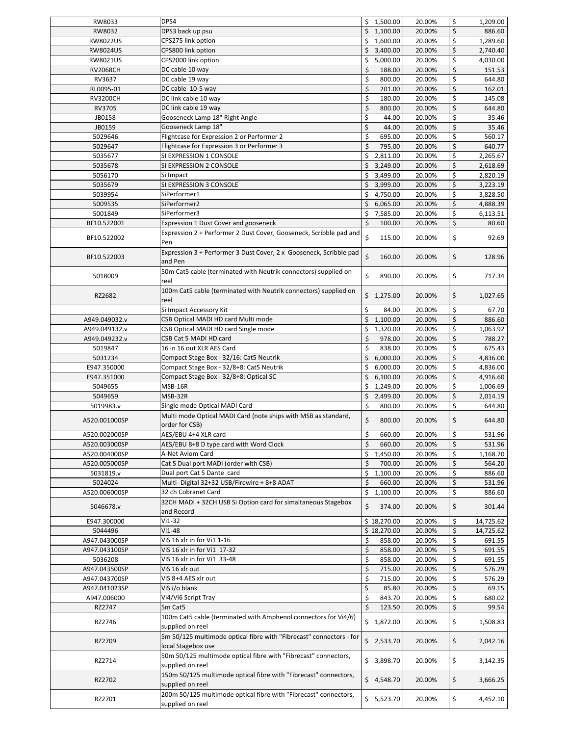| RW8033           | DPS4                                                                                    | 1,500.00<br>\$             | 20.00%           | \$       | 1,209.00          |
|------------------|-----------------------------------------------------------------------------------------|----------------------------|------------------|----------|-------------------|
| RW8032           | DPS3 back up psu                                                                        | Ś<br>1,100.00              | 20.00%           | \$       | 886.60            |
| <b>RW8022US</b>  | CPS275 link option                                                                      | \$<br>1,600.00             | 20.00%           | \$       | 1,289.60          |
| <b>RW8024US</b>  | CPS800 link option                                                                      | \$<br>3,400.00             | 20.00%           | \$       | 2,740.40          |
| <b>RW8021US</b>  | CPS2000 link option                                                                     | \$<br>5,000.00             | 20.00%           | \$       | 4,030.00          |
| <b>RV2068CH</b>  | DC cable 10 way                                                                         | \$<br>188.00               | 20.00%           | \$       | 151.53            |
| RV3637           | DC cable 19 way                                                                         | \$<br>800.00               | 20.00%           | \$       | 644.80            |
| RL0095-01        | DC cable 10-5 way                                                                       | \$<br>201.00               | 20.00%           | \$       | 162.01            |
| <b>RV3200CH</b>  | DC link cable 10 way                                                                    | \$<br>180.00               | 20.00%           | \$       | 145.08            |
| RV3705           | DC link cable 19 way                                                                    | \$<br>800.00               | 20.00%           | \$       | 644.80            |
| JB0158           | Gooseneck Lamp 18" Right Angle                                                          | \$<br>44.00                | 20.00%           | \$       | 35.46             |
| JB0159           | Gooseneck Lamp 18"                                                                      | \$<br>44.00                | 20.00%           | \$       | 35.46             |
| 5029646          | Flightcase for Expression 2 or Performer 2                                              | \$<br>695.00               | 20.00%           | \$       | 560.17            |
| 5029647          | Flightcase for Expression 3 or Performer 3                                              | \$<br>795.00               | 20.00%           | \$       | 640.77            |
|                  |                                                                                         |                            |                  |          |                   |
| 5035677          | SI EXPRESSION 1 CONSOLE                                                                 | \$<br>2,811.00             | 20.00%           | \$       | 2,265.67          |
| 5035678          | SI EXPRESSION 2 CONSOLE                                                                 | Ś.<br>3,249.00             | 20.00%           | \$       | 2,618.69          |
| 5056170          | Si Impact                                                                               | \$<br>3,499.00             | 20.00%           | \$       | 2,820.19          |
| 5035679          | SI EXPRESSION 3 CONSOLE                                                                 | \$<br>3,999.00             | 20.00%           | \$       | 3,223.19          |
| 5039954          | SiPerformer1                                                                            | \$<br>4,750.00             | 20.00%           | \$       | 3,828.50          |
| 5009535          | SiPerformer2                                                                            | Ś<br>6,065.00              | 20.00%           | \$       | 4,888.39          |
| 5001849          | SiPerformer3                                                                            | \$<br>7,585.00             | 20.00%           | \$       | 6,113.51          |
| BF10.522001      | Expression 1 Dust Cover and gooseneck                                                   | \$<br>100.00               | 20.00%           | \$       | 80.60             |
|                  | Expression 2 + Performer 2 Dust Cover, Gooseneck, Scribble pad and                      | Ś                          |                  |          |                   |
| BF10.522002      | Pen                                                                                     | 115.00                     | 20.00%           | \$       | 92.69             |
| BF10.522003      | Expression 3 + Performer 3 Dust Cover, 2 x Gooseneck, Scribble pad<br>and Pen           | \$<br>160.00               | 20.00%           | \$       | 128.96            |
|                  | 50m Cat5 cable (terminated with Neutrik connectors) supplied on                         |                            |                  |          |                   |
| 5018009          | reel                                                                                    | \$<br>890.00               | 20.00%           | \$       | 717.34            |
| RZ2682           | 100m Cat5 cable (terminated with Neutrik connectors) supplied on<br>reel                | Ś.<br>1,275.00             | 20.00%           | \$       | 1,027.65          |
|                  | Si Impact Accessory Kit                                                                 | Ś<br>84.00                 | 20.00%           | \$       | 67.70             |
| A949.049032.v    | CSB Optical MADI HD card Multi mode                                                     | \$<br>1,100.00             | 20.00%           | \$       | 886.60            |
| A949.049132.v    | CSB Optical MADI HD card Single mode                                                    | \$<br>1,320.00             | 20.00%           | \$       | 1,063.92          |
| A949.049232.v    | CSB Cat 5 MADI HD card                                                                  | \$<br>978.00               | 20.00%           | \$       | 788.27            |
| 5019847          | 16 in 16 out XLR AES Card                                                               | \$<br>838.00               | 20.00%           | \$       | 675.43            |
| 5031234          | Compact Stage Box - 32/16: Cat5 Neutrik                                                 | \$<br>6,000.00             | 20.00%           | \$       | 4,836.00          |
| E947.350000      | Compact Stage Box - 32/8+8: Cat5 Neutrik                                                | \$<br>6,000.00             | 20.00%           | \$       | 4,836.00          |
| E947.351000      | Compact Stage Box - 32/8+8: Optical SC                                                  | Ś<br>6,100.00              | 20.00%           | \$       | 4,916.60          |
| 5049655          | MSB-16R                                                                                 | \$<br>1,249.00             | 20.00%           | \$       | 1,006.69          |
| 5049659          | MSB-32R                                                                                 | \$<br>2,499.00             | 20.00%           | \$       | 2,014.19          |
| 5019983.v        | Single mode Optical MADI Card                                                           | \$<br>800.00               | 20.00%           | \$       | 644.80            |
|                  | Multi mode Optical MADI Card (note ships with MSB as standard,                          |                            |                  |          |                   |
| A520.001000SP    | order for CSB)                                                                          | \$<br>800.00               | 20.00%           | \$       | 644.80            |
| A520.002000SP    | AES/EBU 4+4 XLR card                                                                    | \$<br>660.00               | 20.00%           | \$       | 531.96            |
| A520.003000SP    | AES/EBU 8+8 D type card with Word Clock                                                 | \$<br>660.00               | 20.00%           | \$       | 531.96            |
| A520.004000SP    | A-Net Aviom Card                                                                        | \$<br>1,450.00             | 20.00%           | \$       | 1,168.70          |
| A520.005000SP    | Cat 5 Dual port MADI (order with CSB)                                                   | \$<br>700.00               | 20.00%           | \$       | 564.20            |
| 5031819.v        | Dual port Cat 5 Dante card                                                              | \$<br>1,100.00             | 20.00%           | \$       | 886.60            |
| 5024024          | Multi - Digital 32+32 USB/Firewire + 8+8 ADAT                                           | \$<br>660.00               | 20.00%           | \$       | 531.96            |
| A520.006000SP    | 32 ch Cobranet Card                                                                     | \$<br>1,100.00             | 20.00%           | \$       | 886.60            |
| 5046678.v        | 32CH MADI + 32CH USB Si Option card for simaltaneous Stagebox<br>and Record             | \$<br>374.00               | 20.00%           | \$       | 301.44            |
| E947.300000      | Vi1-32                                                                                  | \$18,270.00                | 20.00%           | \$       | 14,725.62         |
| 5044496          | $Vi1-48$                                                                                | \$18,270.00                | 20.00%           | \$       | 14,725.62         |
| A947.043000SP    | ViS 16 xlr in for Vi1 1-16                                                              | \$<br>858.00               | 20.00%           | \$       | 691.55            |
| A947.043100SP    | ViS 16 xlr in for Vi1 17-32                                                             | \$<br>858.00               | 20.00%           | \$       | 691.55            |
| 5036208          | ViS 16 xlr in for Vi1 33-48                                                             | \$<br>858.00               | 20.00%           | \$       | 691.55            |
|                  |                                                                                         |                            |                  |          |                   |
| A947.043500SP    | ViS 16 xlr out                                                                          | \$<br>715.00<br>\$         | 20.00%           | \$<br>\$ | 576.29            |
| A947.043700SP    | ViS 8+4 AES xlr out                                                                     | 715.00                     | 20.00%           |          | 576.29            |
| A947.041023SP    | ViS i/o blank                                                                           | \$<br>85.80                | 20.00%           | \$       | 69.15             |
| A947.006000      | Vi4/Vi6 Script Tray                                                                     | \$<br>843.70               | 20.00%           | \$       | 680.02            |
| RZ2747<br>RZ2746 | 5m Cat5<br>100m Cat5 cable (terminated with Amphenol connectors for Vi4/6)              | \$<br>123.50<br>\$1,872.00 | 20.00%<br>20.00% | \$<br>\$ | 99.54<br>1,508.83 |
|                  | supplied on reel<br>5m 50/125 multimode optical fibre with "Fibrecast" connectors - for |                            |                  |          |                   |
| RZ2709           | local Stagebox use<br>50m 50/125 multimode optical fibre with "Fibrecast" connectors,   | \$2,533.70                 | 20.00%           | \$       | 2,042.16          |
| RZ2714           | supplied on reel                                                                        | \$3,898.70                 | 20.00%           | \$       | 3,142.35          |
| RZ2702           | 150m 50/125 multimode optical fibre with "Fibrecast" connectors,<br>supplied on reel    | \$4,548.70                 | 20.00%           | \$       | 3,666.25          |
| RZ2701           | 200m 50/125 multimode optical fibre with "Fibrecast" connectors,<br>supplied on reel    | \$5,523.70                 | 20.00%           | \$       | 4,452.10          |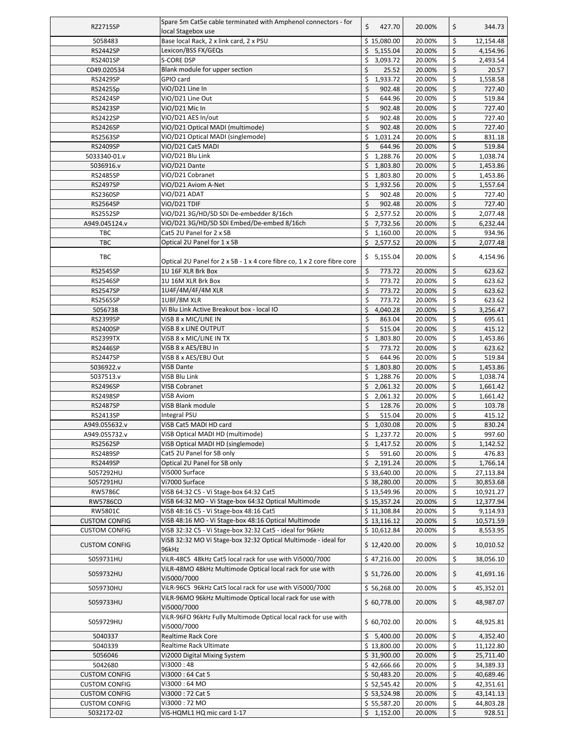| <b>RZ2715SP</b>                    | Spare 5m Cat5e cable terminated with Amphenol connectors - for                 | \$<br>427.70                     | 20.00%           | \$       | 344.73             |
|------------------------------------|--------------------------------------------------------------------------------|----------------------------------|------------------|----------|--------------------|
| 5058483                            | local Stagebox use<br>Base local Rack, 2 x link card, 2 x PSU                  | \$15,080.00                      | 20.00%           | \$       | 12,154.48          |
| <b>RS2442SP</b>                    | Lexicon/BSS FX/GEQs                                                            | 5,155.04<br>\$                   | 20.00%           | \$       | 4,154.96           |
| RS2401SP                           | S-CORE DSP                                                                     | \$<br>3,093.72                   | 20.00%           | \$       | 2,493.54           |
| C049.020534                        | Blank module for upper section                                                 | \$<br>25.52                      | 20.00%           | \$       | 20.57              |
| <b>RS2429SP</b>                    | GPIO card                                                                      | \$<br>1,933.72                   | 20.00%           | \$       | 1,558.58           |
| RS2425Sp                           | ViO/D21 Line In                                                                | \$<br>902.48                     | 20.00%           | \$       | 727.40             |
| <b>RS2424SP</b>                    | ViO/D21 Line Out                                                               | \$<br>644.96                     | 20.00%           | \$       | 519.84             |
| <b>RS2423SP</b>                    | ViO/D21 Mic In                                                                 | \$<br>902.48                     | 20.00%           | \$       | 727.40             |
| <b>RS2422SP</b>                    | ViO/D21 AES In/out                                                             | \$<br>902.48                     | 20.00%           | \$       | 727.40             |
| <b>RS2426SP</b>                    | ViO/D21 Optical MADI (multimode)                                               | \$<br>902.48                     | 20.00%           | \$       | 727.40             |
| <b>RS2563SP</b>                    | ViO/D21 Optical MADI (singlemode)                                              | \$<br>1,031.24                   | 20.00%           | \$       | 831.18             |
| <b>RS2409SP</b>                    | ViO/D21 Cat5 MADI                                                              | \$<br>644.96                     | 20.00%           | \$       | 519.84             |
| 5033340-01.v                       | ViO/D21 Blu Link                                                               | \$<br>1,288.76                   | 20.00%           | \$       | 1,038.74           |
| 5036916.v                          | ViO/D21 Dante                                                                  | \$<br>1,803.80                   | 20.00%           | \$       | 1,453.86           |
| <b>RS2485SP</b>                    | ViO/D21 Cobranet                                                               | \$<br>1,803.80                   | 20.00%           | \$       | 1,453.86           |
| <b>RS2497SP</b>                    | ViO/D21 Aviom A-Net                                                            | \$<br>1,932.56                   | 20.00%           | \$       | 1,557.64           |
| <b>RS2360SP</b>                    | ViO/D21 ADAT                                                                   | \$<br>902.48                     | 20.00%           | \$       | 727.40             |
| <b>RS2564SP</b>                    | ViO/D21 TDIF                                                                   | \$<br>902.48                     | 20.00%           | \$       | 727.40             |
| <b>RS2552SP</b>                    | ViO/D21 3G/HD/SD SDi De-embedder 8/16ch                                        | \$<br>2,577.52                   | 20.00%           | \$       | 2,077.48           |
| A949.045124.v<br>TBC               | ViO/D21 3G/HD/SD SDi Embed/De-embed 8/16ch<br>Cat5 2U Panel for 2 x SB         | \$<br>7,732.56<br>\$<br>1,160.00 | 20.00%<br>20.00% | \$<br>\$ | 6,232.44<br>934.96 |
| <b>TBC</b>                         | Optical 2U Panel for 1 x SB                                                    | \$<br>2,577.52                   | 20.00%           | \$       | 2,077.48           |
|                                    |                                                                                |                                  |                  |          |                    |
| TBC                                | Optical 2U Panel for 2 x SB - 1 x 4 core fibre co, 1 x 2 core fibre core       | 5,155.04<br>\$.                  | 20.00%           | \$       | 4,154.96           |
| <b>RS2545SP</b>                    | 1U 16F XLR Brk Box                                                             | \$<br>773.72                     | 20.00%           | \$       | 623.62             |
| <b>RS2546SP</b>                    | 1U 16M XLR Brk Box                                                             | \$<br>773.72                     | 20.00%           | \$       | 623.62             |
| <b>RS2547SP</b>                    | 1U4F/4M/4F/4M XLR                                                              | \$<br>773.72                     | 20.00%           | \$       | 623.62             |
| <b>RS2565SP</b>                    | 1U8F/8M XLR                                                                    | \$<br>773.72                     | 20.00%           | \$       | 623.62             |
| 5056738                            | Vi Blu Link Active Breakout box - local IO                                     | \$<br>4,040.28                   | 20.00%           | \$       | 3,256.47           |
| <b>RS2399SP</b>                    | VISB 8 x MIC/LINE IN                                                           | \$<br>863.04                     | 20.00%           | \$       | 695.61             |
| <b>RS2400SP</b>                    | VISB 8 x LINE OUTPUT                                                           | \$<br>515.04                     | 20.00%           | \$       | 415.12             |
| <b>RS2399TX</b>                    | VISB 8 x MIC/LINE IN TX                                                        | \$<br>1,803.80                   | 20.00%           | \$       | 1,453.86           |
| <b>RS2446SP</b>                    | VISB 8 x AES/EBU In                                                            | \$<br>773.72                     | 20.00%           | \$       | 623.62             |
| <b>RS2447SP</b>                    | VISB 8 x AES/EBU Out                                                           | \$<br>644.96                     | 20.00%           | \$       | 519.84             |
| 5036922.v                          | <b>ViSB Dante</b>                                                              | \$<br>1,803.80                   | 20.00%           | \$       | 1,453.86           |
| 5037513.v                          | ViSB Blu Link                                                                  | \$<br>1,288.76                   | 20.00%           | \$       | 1,038.74           |
| <b>RS2496SP</b>                    | <b>VISB Cobranet</b>                                                           | \$<br>2,061.32                   | 20.00%           | \$       | 1,661.42           |
| <b>RS2498SP</b>                    | <b>ViSB Aviom</b>                                                              | \$<br>2,061.32                   | 20.00%           | \$       | 1,661.42           |
| <b>RS2487SP</b>                    | ViSB Blank module                                                              | \$<br>128.76                     | 20.00%           | $\zeta$  | 103.78             |
| RS2413SP                           | Integral PSU                                                                   | \$<br>515.04                     | 20.00%           | \$       | 415.12             |
| A949.055632.v                      | ViSB Cat5 MADI HD card<br>VISB Optical MADI HD (multimode)                     | \$<br>1,030.08                   | 20.00%           | \$<br>\$ | 830.24             |
| A949.055732.v                      | VISB Optical MADI HD (singlemode)                                              | \$1,237.72<br>\$1,417.52         | 20.00%           | \$       | 997.60             |
| <b>RS2562SP</b><br><b>RS2489SP</b> | Cat5 2U Panel for SB only                                                      | 591.60<br>\$                     | 20.00%           | \$       | 1,142.52<br>476.83 |
| RS2449SP                           | Optical 2U Panel for SB only                                                   | \$<br>2,191.24                   | 20.00%<br>20.00% | \$       | 1,766.14           |
| 5057292HU                          | Vi5000 Surface                                                                 | \$33,640.00                      | 20.00%           | \$       | 27,113.84          |
| 5057291HU                          | Vi7000 Surface                                                                 | \$38,280.00                      | 20.00%           | \$       | 30,853.68          |
| <b>RW5786C</b>                     | ViSB 64:32 C5 - Vi Stage-box 64:32 Cat5                                        | \$13,549.96                      | 20.00%           | \$       | 10,921.27          |
| RW5786CO                           | ViSB 64:32 MO - Vi Stage-box 64:32 Optical Multimode                           | \$15,357.24                      | 20.00%           | \$       | 12,377.94          |
| RW5801C                            | ViSB 48:16 C5 - Vi Stage-box 48:16 Cat5                                        | \$11,308.84                      | 20.00%           | \$       | 9,114.93           |
| <b>CUSTOM CONFIG</b>               | VISB 48:16 MO - Vi Stage-box 48:16 Optical Multimode                           | \$13,116.12                      | 20.00%           | \$       | 10,571.59          |
| <b>CUSTOM CONFIG</b>               | ViSB 32:32 C5 - Vi Stage-box 32:32 Cat5 - ideal for 96kHz                      | \$10,612.84                      | 20.00%           | \$       | 8,553.95           |
|                                    | VISB 32:32 MO VI Stage-box 32:32 Optical Multimode - ideal for                 |                                  |                  |          |                    |
| <b>CUSTOM CONFIG</b>               | 96kHz                                                                          | \$12,420.00                      | 20.00%           | \$       | 10,010.52          |
| 5059731HU                          | ViLR-48C5 48kHz Cat5 local rack for use with Vi5000/7000                       | \$47,216.00                      | 20.00%           | \$       | 38,056.10          |
| 5059732HU                          | ViLR-48MO 48kHz Multimode Optical local rack for use with<br>Vi5000/7000       | \$ 51,726.00                     | 20.00%           | \$       | 41,691.16          |
| 5059730HU                          | ViLR-96C5 96kHz Cat5 local rack for use with Vi5000/7000                       | \$56,268.00                      | 20.00%           | \$       | 45,352.01          |
|                                    | ViLR-96MO 96kHz Multimode Optical local rack for use with                      |                                  |                  |          |                    |
| 5059733HU                          | Vi5000/7000                                                                    | \$60,778.00                      | 20.00%           | \$       | 48,987.07          |
| 5059729HU                          | ViLR-96FO 96kHz Fully Multimode Optical local rack for use with<br>Vi5000/7000 | \$60,702.00                      | 20.00%           | \$       | 48,925.81          |
| 5040337                            | Realtime Rack Core                                                             | \$5,400.00                       | 20.00%           | \$       | 4,352.40           |
| 5040339                            | Realtime Rack Ultimate                                                         | \$13,800.00                      | 20.00%           | \$       | 11,122.80          |
| 5056046                            | Vi2000 Digital Mixing System                                                   | \$31,900.00                      | 20.00%           | \$       | 25,711.40          |
| 5042680                            | Vi3000:48                                                                      | \$42,666.66                      | 20.00%           | \$       | 34,389.33          |
| <b>CUSTOM CONFIG</b>               | Vi3000: 64 Cat 5                                                               | \$50,483.20                      | 20.00%           | \$       | 40,689.46          |
| <b>CUSTOM CONFIG</b>               | Vi3000 : 64 MO                                                                 | \$52,545.42                      | 20.00%           | \$       | 42,351.61          |
| <b>CUSTOM CONFIG</b>               | Vi3000: 72 Cat 5                                                               | \$53,524.98                      | 20.00%           | \$       | 43,141.13          |
| <b>CUSTOM CONFIG</b>               | Vi3000: 72 MO                                                                  | \$55,587.20                      | 20.00%           | \$       | 44,803.28          |
| 5032172-02                         | ViS-HQML1 HQ mic card 1-17                                                     | \$1,152.00                       | 20.00%           | \$       | 928.51             |